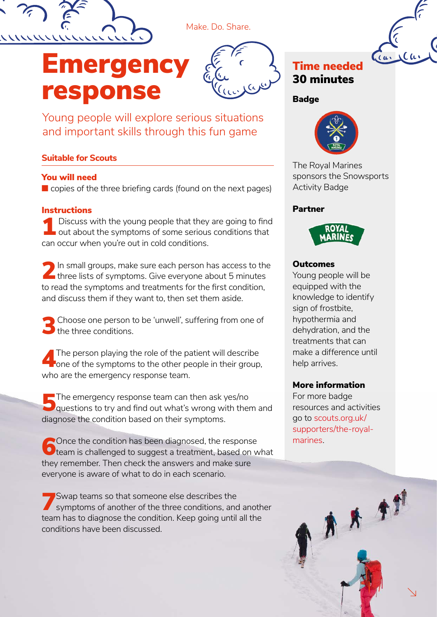

# Emergency response



Young people will explore serious situations and important skills through this fun game

#### **Suitable for Scouts**

#### You will need

■ copies of the three briefing cards (found on the next pages)

#### **Instructions**

Discuss with the young people that they are going to find<br>out about the symptoms of some serious conditions that Discuss with the young people that they are going to find can occur when you're out in cold conditions.

2 In small groups, make sure each person has access to the three lists of symptoms. Give everyone about 5 minutes to read the symptoms and treatments for the first condition, and discuss them if they want to, then set them aside.

3Choose one person to be 'unwell', suffering from one of  $\Box$  the three conditions.

The person playing the role of the patient will describe<br>one of the symptoms to the other people in their group, who are the emergency response team.

The emergency response team can then ask yes/no<br>questions to try and find out what's wrong with them and diagnose the condition based on their symptoms.

 $\bigcap$  Once the condition has been diagnosed, the response  $\bigcup$  team is challenged to suggest a treatment, based on what they remember. Then check the answers and make sure everyone is aware of what to do in each scenario.

7Swap teams so that someone else describes the symptoms of another of the three conditions, and another team has to diagnose the condition. Keep going until all the conditions have been discussed.

### Time needed 30 minutes

#### Badge



The Royal Marines sponsors the Snowsports Activity Badge

#### Partner



#### **Outcomes**

Young people will be equipped with the knowledge to identify sign of frostbite, hypothermia and dehydration, and the treatments that can make a difference until help arrives.

#### More information

For more badge resources and activities go to scouts.org.uk/ supporters/the-royalmarines.

\*\*\*

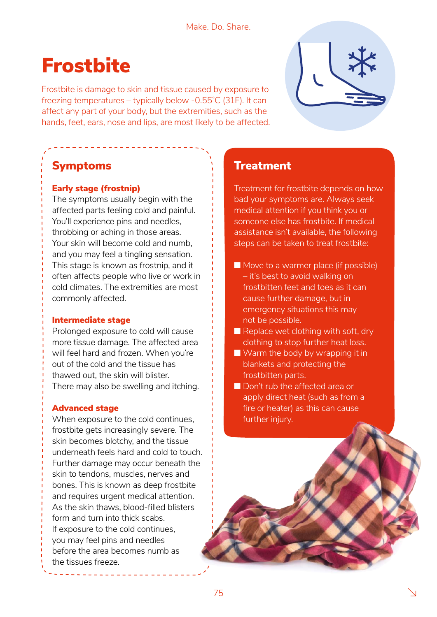# **Frostbite**

Frostbite is damage to skin and tissue caused by exposure to freezing temperatures – typically below -0.55˚C (31F). It can affect any part of your body, but the extremities, such as the hands, feet, ears, nose and lips, are most likely to be affected.

## Symptoms

#### Early stage (frostnip)

The symptoms usually begin with the affected parts feeling cold and painful. You'll experience pins and needles, throbbing or aching in those areas. Your skin will become cold and numb, and you may feel a tingling sensation. This stage is known as frostnip, and it often affects people who live or work in cold climates. The extremities are most commonly affected.

#### Intermediate stage

Prolonged exposure to cold will cause more tissue damage. The affected area will feel hard and frozen. When you're out of the cold and the tissue has thawed out, the skin will blister. There may also be swelling and itching.

#### Advanced stage

When exposure to the cold continues, frostbite gets increasingly severe. The skin becomes blotchy, and the tissue underneath feels hard and cold to touch. Further damage may occur beneath the skin to tendons, muscles, nerves and bones. This is known as deep frostbite and requires urgent medical attention. As the skin thaws, blood-filled blisters form and turn into thick scabs. If exposure to the cold continues, you may feel pins and needles before the area becomes numb as the tissues freeze.



### **Treatment**

Treatment for frostbite depends on how bad your symptoms are. Always seek medical attention if you think you or someone else has frostbite. If medical assistance isn't available, the following steps can be taken to treat frostbite:

- Move to a warmer place (if possible) – it's best to avoid walking on frostbitten feet and toes as it can cause further damage, but in emergency situations this may not be possible.
- $\blacksquare$  Replace wet clothing with soft, dry clothing to stop further heat loss.
- $\blacksquare$  Warm the body by wrapping it in blankets and protecting the frostbitten parts.
- Don't rub the affected area or apply direct heat (such as from a fire or heater) as this can cause further injury.

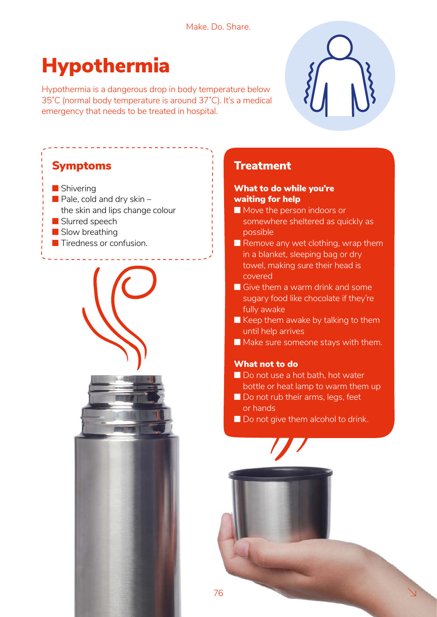# Hypothermia

Hypothermia is a dangerous drop in body temperature below 35˚C (normal body temperature is around 37˚C). It's a medical emergency that needs to be treated in hospital.



### **Treatment**

#### What to do while you're waiting for help

- Move the person indoors or somewhere sheltered as quickly as possible
- $\blacksquare$  Remove any wet clothing, wrap them in a blanket, sleeping bag or dry towel, making sure their head is covered
- Give them a warm drink and some sugary food like chocolate if they're fully awake
- $\blacksquare$  Keep them awake by talking to them until help arrives
- Make sure someone stays with them.

#### What not to do

- Do not use a hot bath, hot water bottle or heat lamp to warm them up
- Do not rub their arms, legs, feet or hands
- Do not give them alcohol to drink.